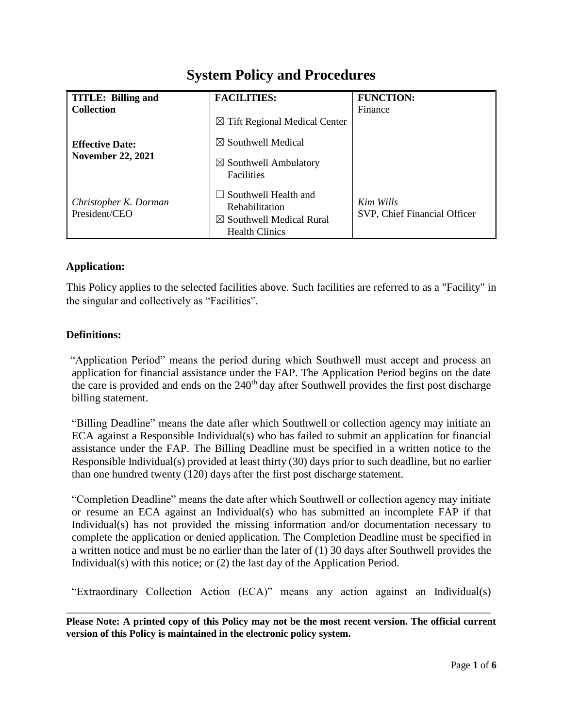# **System Policy and Procedures**

| <b>TITLE: Billing and</b>                          | <b>FACILITIES:</b>                                                                                            | <b>FUNCTION:</b>                          |
|----------------------------------------------------|---------------------------------------------------------------------------------------------------------------|-------------------------------------------|
| <b>Collection</b>                                  |                                                                                                               | Finance                                   |
| <b>Effective Date:</b><br><b>November 22, 2021</b> | $\boxtimes$ Tift Regional Medical Center                                                                      |                                           |
|                                                    | $\boxtimes$ Southwell Medical                                                                                 |                                           |
|                                                    | $\boxtimes$ Southwell Ambulatory<br><b>Facilities</b>                                                         |                                           |
| <b>Christopher K. Dorman</b><br>President/CEO      | $\Box$ Southwell Health and<br>Rehabilitation<br>$\boxtimes$ Southwell Medical Rural<br><b>Health Clinics</b> | Kim Wills<br>SVP, Chief Financial Officer |

# **Application:**

This Policy applies to the selected facilities above. Such facilities are referred to as a "Facility" in the singular and collectively as "Facilities".

### **Definitions:**

"Application Period" means the period during which Southwell must accept and process an application for financial assistance under the FAP. The Application Period begins on the date the care is provided and ends on the 240<sup>th</sup> day after Southwell provides the first post discharge billing statement.

"Billing Deadline" means the date after which Southwell or collection agency may initiate an ECA against a Responsible Individual(s) who has failed to submit an application for financial assistance under the FAP. The Billing Deadline must be specified in a written notice to the Responsible Individual(s) provided at least thirty (30) days prior to such deadline, but no earlier than one hundred twenty (120) days after the first post discharge statement.

"Completion Deadline" means the date after which Southwell or collection agency may initiate or resume an ECA against an Individual(s) who has submitted an incomplete FAP if that Individual(s) has not provided the missing information and/or documentation necessary to complete the application or denied application. The Completion Deadline must be specified in a written notice and must be no earlier than the later of (1) 30 days after Southwell provides the Individual(s) with this notice; or (2) the last day of the Application Period.

"Extraordinary Collection Action (ECA)" means any action against an Individual(s)

**Please Note: A printed copy of this Policy may not be the most recent version. The official current version of this Policy is maintained in the electronic policy system.**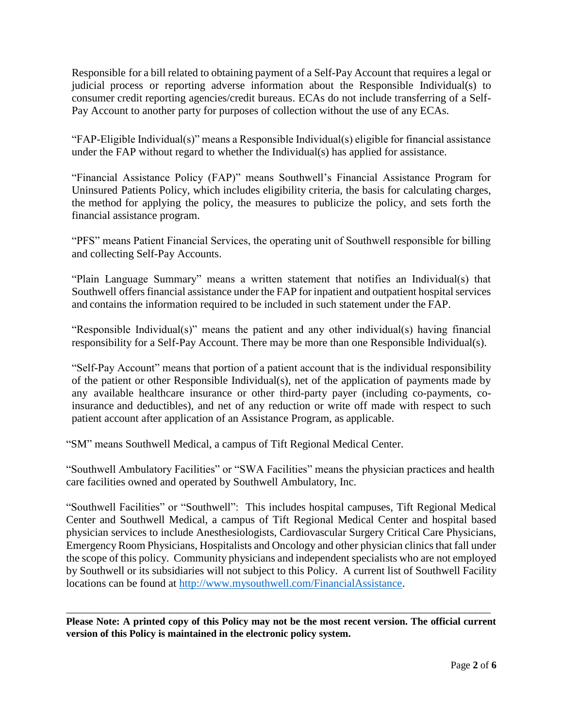Responsible for a bill related to obtaining payment of a Self-Pay Account that requires a legal or judicial process or reporting adverse information about the Responsible Individual(s) to consumer credit reporting agencies/credit bureaus. ECAs do not include transferring of a Self-Pay Account to another party for purposes of collection without the use of any ECAs.

"FAP-Eligible Individual(s)" means a Responsible Individual(s) eligible for financial assistance under the FAP without regard to whether the Individual(s) has applied for assistance.

"Financial Assistance Policy (FAP)" means Southwell's Financial Assistance Program for Uninsured Patients Policy, which includes eligibility criteria, the basis for calculating charges, the method for applying the policy, the measures to publicize the policy, and sets forth the financial assistance program.

"PFS" means Patient Financial Services, the operating unit of Southwell responsible for billing and collecting Self-Pay Accounts.

"Plain Language Summary" means a written statement that notifies an Individual(s) that Southwell offers financial assistance under the FAP for inpatient and outpatient hospital services and contains the information required to be included in such statement under the FAP.

"Responsible Individual(s)" means the patient and any other individual(s) having financial responsibility for a Self-Pay Account. There may be more than one Responsible Individual(s).

"Self-Pay Account" means that portion of a patient account that is the individual responsibility of the patient or other Responsible Individual(s), net of the application of payments made by any available healthcare insurance or other third-party payer (including co-payments, coinsurance and deductibles), and net of any reduction or write off made with respect to such patient account after application of an Assistance Program, as applicable.

"SM" means Southwell Medical, a campus of Tift Regional Medical Center.

"Southwell Ambulatory Facilities" or "SWA Facilities" means the physician practices and health care facilities owned and operated by Southwell Ambulatory, Inc.

"Southwell Facilities" or "Southwell": This includes hospital campuses, Tift Regional Medical Center and Southwell Medical, a campus of Tift Regional Medical Center and hospital based physician services to include Anesthesiologists, Cardiovascular Surgery Critical Care Physicians, Emergency Room Physicians, Hospitalists and Oncology and other physician clinics that fall under the scope of this policy. Community physicians and independent specialists who are not employed by Southwell or its subsidiaries will not subject to this Policy. A current list of Southwell Facility locations can be found at [http://www.mysouthwell.com/FinancialAssistance.](http://www.mysouthwell.com/FinancialAssistance)

**Please Note: A printed copy of this Policy may not be the most recent version. The official current version of this Policy is maintained in the electronic policy system.**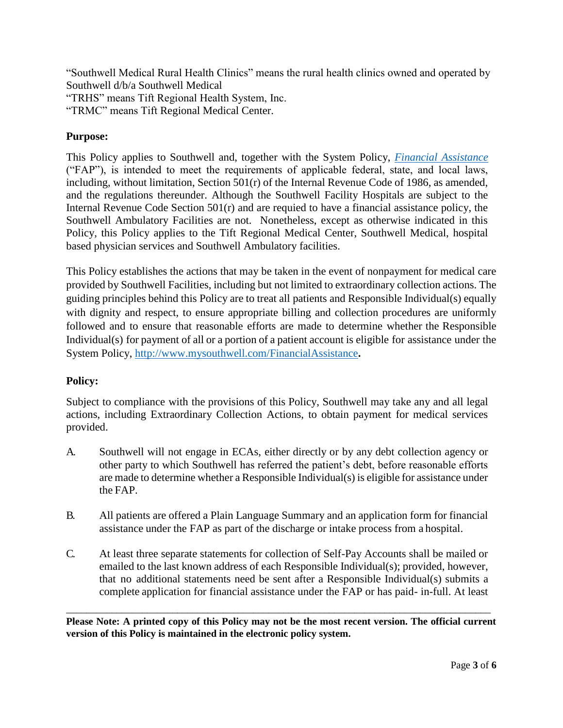"Southwell Medical Rural Health Clinics" means the rural health clinics owned and operated by Southwell d/b/a Southwell Medical

"TRHS" means Tift Regional Health System, Inc.

"TRMC" means Tift Regional Medical Center.

## **Purpose:**

This Policy applies to Southwell and, together with the System Policy, *[Financial Assistance](https://trhs.policytech.com/docview/?docid=9676)* ("FAP"), is intended to meet the requirements of applicable federal, state, and local laws, including, without limitation, Section 501(r) of the Internal Revenue Code of 1986, as amended, and the regulations thereunder. Although the Southwell Facility Hospitals are subject to the Internal Revenue Code Section  $501(r)$  and are requied to have a financial assistance policy, the Southwell Ambulatory Facilities are not. Nonetheless, except as otherwise indicated in this Policy, this Policy applies to the Tift Regional Medical Center, Southwell Medical, hospital based physician services and Southwell Ambulatory facilities.

This Policy establishes the actions that may be taken in the event of nonpayment for medical care provided by Southwell Facilities, including but not limited to extraordinary collection actions. The guiding principles behind this Policy are to treat all patients and Responsible Individual(s) equally with dignity and respect, to ensure appropriate billing and collection procedures are uniformly followed and to ensure that reasonable efforts are made to determine whether the Responsible Individual(s) for payment of all or a portion of a patient account is eligible for assistance under the System Policy,<http://www.mysouthwell.com/FinancialAssistance>**.**

### **Policy:**

Subject to compliance with the provisions of this Policy, Southwell may take any and all legal actions, including Extraordinary Collection Actions, to obtain payment for medical services provided.

- A. Southwell will not engage in ECAs, either directly or by any debt collection agency or other party to which Southwell has referred the patient's debt, before reasonable efforts are made to determine whether a Responsible Individual(s) is eligible for assistance under the FAP.
- B. All patients are offered a Plain Language Summary and an application form for financial assistance under the FAP as part of the discharge or intake process from a hospital.
- C. At least three separate statements for collection of Self-Pay Accounts shall be mailed or emailed to the last known address of each Responsible Individual(s); provided, however, that no additional statements need be sent after a Responsible Individual(s) submits a complete application for financial assistance under the FAP or has paid- in-full. At least

**Please Note: A printed copy of this Policy may not be the most recent version. The official current version of this Policy is maintained in the electronic policy system.**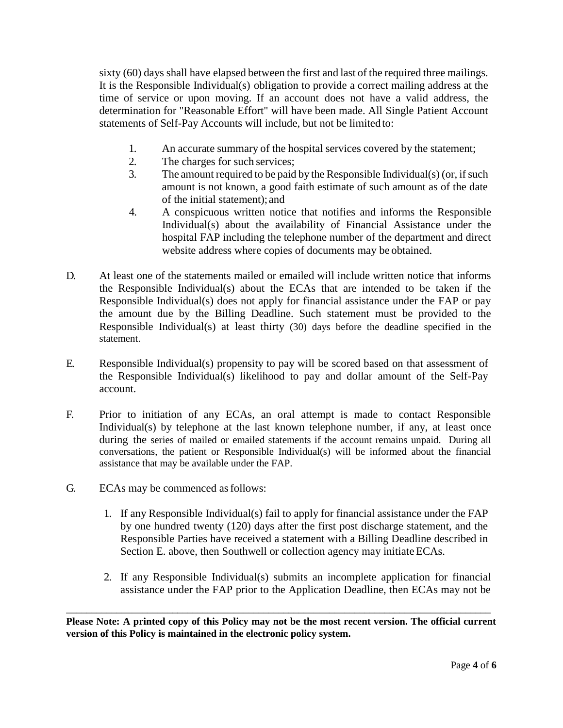sixty (60) days shall have elapsed between the first and last of the required three mailings. It is the Responsible Individual(s) obligation to provide a correct mailing address at the time of service or upon moving. If an account does not have a valid address, the determination for "Reasonable Effort" will have been made. All Single Patient Account statements of Self-Pay Accounts will include, but not be limited to:

- 1. An accurate summary of the hospital services covered by the statement;
- 2. The charges for such services;
- 3. The amount required to be paid by the Responsible Individual(s) (or, if such amount is not known, a good faith estimate of such amount as of the date of the initial statement); and
- 4. A conspicuous written notice that notifies and informs the Responsible Individual(s) about the availability of Financial Assistance under the hospital FAP including the telephone number of the department and direct website address where copies of documents may be obtained.
- D. At least one of the statements mailed or emailed will include written notice that informs the Responsible Individual(s) about the ECAs that are intended to be taken if the Responsible Individual(s) does not apply for financial assistance under the FAP or pay the amount due by the Billing Deadline. Such statement must be provided to the Responsible Individual(s) at least thirty (30) days before the deadline specified in the statement.
- E. Responsible Individual(s) propensity to pay will be scored based on that assessment of the Responsible Individual(s) likelihood to pay and dollar amount of the Self-Pay account.
- F. Prior to initiation of any ECAs, an oral attempt is made to contact Responsible Individual(s) by telephone at the last known telephone number, if any, at least once during the series of mailed or emailed statements if the account remains unpaid. During all conversations, the patient or Responsible Individual(s) will be informed about the financial assistance that may be available under the FAP.
- G. ECAs may be commenced asfollows:
	- 1. If any Responsible Individual(s) fail to apply for financial assistance under the FAP by one hundred twenty (120) days after the first post discharge statement, and the Responsible Parties have received a statement with a Billing Deadline described in Section E. above, then Southwell or collection agency may initiate ECAs.
	- 2. If any Responsible Individual(s) submits an incomplete application for financial assistance under the FAP prior to the Application Deadline, then ECAs may not be

**Please Note: A printed copy of this Policy may not be the most recent version. The official current version of this Policy is maintained in the electronic policy system.**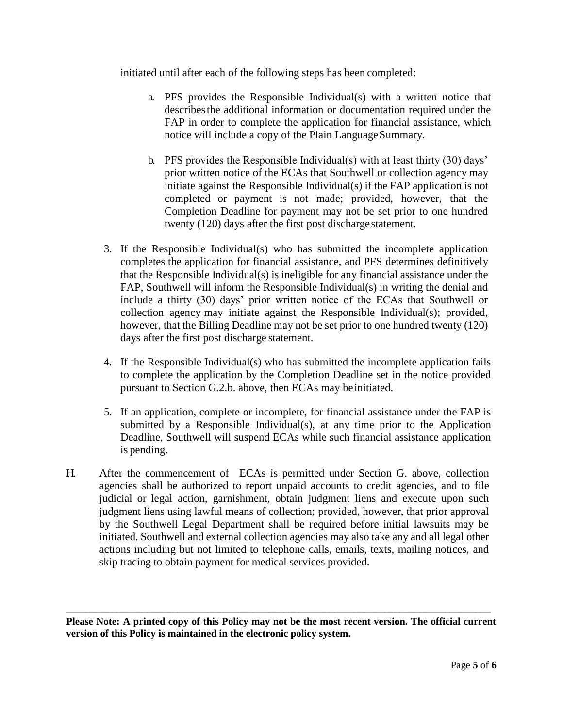initiated until after each of the following steps has been completed:

- a. PFS provides the Responsible Individual(s) with a written notice that describesthe additional information or documentation required under the FAP in order to complete the application for financial assistance, which notice will include a copy of the Plain Language Summary.
- b. PFS provides the Responsible Individual(s) with at least thirty (30) days' prior written notice of the ECAs that Southwell or collection agency may initiate against the Responsible Individual(s) if the FAP application is not completed or payment is not made; provided, however, that the Completion Deadline for payment may not be set prior to one hundred twenty (120) days after the first post discharge statement.
- 3. If the Responsible Individual(s) who has submitted the incomplete application completes the application for financial assistance, and PFS determines definitively that the Responsible Individual(s) is ineligible for any financial assistance under the FAP, Southwell will inform the Responsible Individual(s) in writing the denial and include a thirty (30) days' prior written notice of the ECAs that Southwell or collection agency may initiate against the Responsible Individual(s); provided, however, that the Billing Deadline may not be set prior to one hundred twenty (120) days after the first post discharge statement.
- 4. If the Responsible Individual(s) who has submitted the incomplete application fails to complete the application by the Completion Deadline set in the notice provided pursuant to Section G.2.b. above, then ECAs may be initiated.
- 5. If an application, complete or incomplete, for financial assistance under the FAP is submitted by a Responsible Individual(s), at any time prior to the Application Deadline, Southwell will suspend ECAs while such financial assistance application is pending.
- H. After the commencement of ECAs is permitted under Section G. above, collection agencies shall be authorized to report unpaid accounts to credit agencies, and to file judicial or legal action, garnishment, obtain judgment liens and execute upon such judgment liens using lawful means of collection; provided, however, that prior approval by the Southwell Legal Department shall be required before initial lawsuits may be initiated. Southwell and external collection agencies may also take any and all legal other actions including but not limited to telephone calls, emails, texts, mailing notices, and skip tracing to obtain payment for medical services provided.

**Please Note: A printed copy of this Policy may not be the most recent version. The official current version of this Policy is maintained in the electronic policy system.**